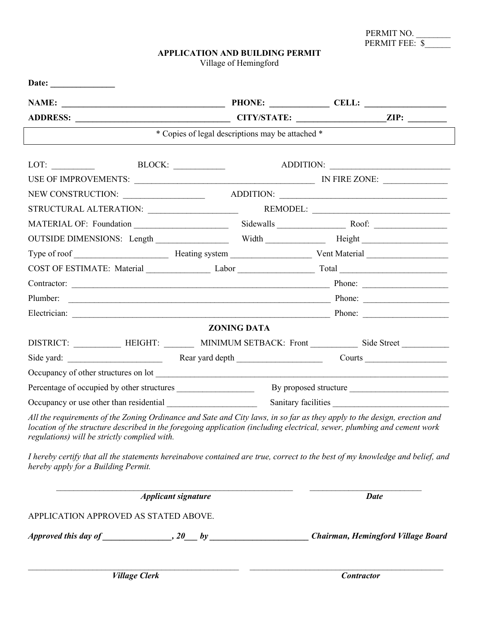| PERMIT NO.     |  |
|----------------|--|
| PERMIT FEE: \$ |  |

## **APPLICATION AND BUILDING PERMIT**

Village of Hemingford

| ADDRESS: ZIP: ZIP:                                                                                                                                                                                                                                                                                  |                            |                                                      |             |  |
|-----------------------------------------------------------------------------------------------------------------------------------------------------------------------------------------------------------------------------------------------------------------------------------------------------|----------------------------|------------------------------------------------------|-------------|--|
|                                                                                                                                                                                                                                                                                                     |                            | * Copies of legal descriptions may be attached *     |             |  |
|                                                                                                                                                                                                                                                                                                     |                            |                                                      | ADDITION:   |  |
|                                                                                                                                                                                                                                                                                                     |                            |                                                      |             |  |
|                                                                                                                                                                                                                                                                                                     |                            |                                                      |             |  |
|                                                                                                                                                                                                                                                                                                     |                            | ADDITION:                                            |             |  |
| MATERIAL OF: Foundation                                                                                                                                                                                                                                                                             |                            |                                                      |             |  |
| OUTSIDE DIMENSIONS: Length Width Width Height Height                                                                                                                                                                                                                                                |                            |                                                      |             |  |
|                                                                                                                                                                                                                                                                                                     |                            |                                                      |             |  |
|                                                                                                                                                                                                                                                                                                     |                            |                                                      |             |  |
|                                                                                                                                                                                                                                                                                                     |                            |                                                      |             |  |
|                                                                                                                                                                                                                                                                                                     |                            |                                                      |             |  |
|                                                                                                                                                                                                                                                                                                     |                            |                                                      |             |  |
|                                                                                                                                                                                                                                                                                                     |                            | <b>ZONING DATA</b>                                   |             |  |
|                                                                                                                                                                                                                                                                                                     |                            | DISTRICT: HEIGHT: MINIMUM SETBACK: Front Side Street |             |  |
|                                                                                                                                                                                                                                                                                                     |                            |                                                      |             |  |
|                                                                                                                                                                                                                                                                                                     |                            |                                                      |             |  |
| By proposed structure<br>Percentage of occupied by other structures                                                                                                                                                                                                                                 |                            |                                                      |             |  |
| Sanitary facilities                                                                                                                                                                                                                                                                                 |                            |                                                      |             |  |
| All the requirements of the Zoning Ordinance and Sate and City laws, in so far as they apply to the design, erection and<br>location of the structure described in the foregoing application (including electrical, sewer, plumbing and cement work<br>regulations) will be strictly complied with. |                            |                                                      |             |  |
| I hereby certify that all the statements hereinabove contained are true, correct to the best of my knowledge and belief, and<br>hereby apply for a Building Permit.                                                                                                                                 |                            |                                                      |             |  |
|                                                                                                                                                                                                                                                                                                     | <b>Applicant signature</b> |                                                      | <b>Date</b> |  |

APPLICATION APPROVED AS STATED ABOVE.

*Approved this day of \_\_\_\_\_\_\_\_\_\_\_\_\_\_\_\_, 20\_\_\_ by \_\_\_\_\_\_\_\_\_\_\_\_\_\_\_\_\_\_\_\_\_\_\_ Chairman, Hemingford Village Board*

 $\mathcal{L}_\mathcal{L} = \mathcal{L}_\mathcal{L} = \mathcal{L}_\mathcal{L} = \mathcal{L}_\mathcal{L} = \mathcal{L}_\mathcal{L} = \mathcal{L}_\mathcal{L} = \mathcal{L}_\mathcal{L} = \mathcal{L}_\mathcal{L} = \mathcal{L}_\mathcal{L} = \mathcal{L}_\mathcal{L} = \mathcal{L}_\mathcal{L} = \mathcal{L}_\mathcal{L} = \mathcal{L}_\mathcal{L} = \mathcal{L}_\mathcal{L} = \mathcal{L}_\mathcal{L} = \mathcal{L}_\mathcal{L} = \mathcal{L}_\mathcal{L}$ 

*Village Clerk* Contractor